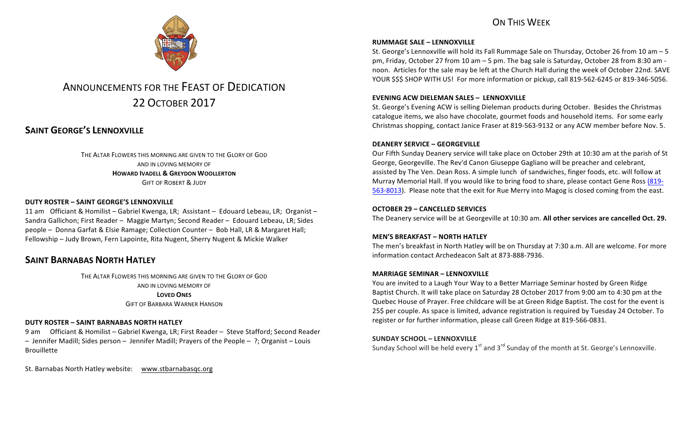## ON THIS WFFK



# ANNOUNCEMENTS FOR THE FEAST OF DEDICATION 22 OCTOBER 2017

## **SAINT GEORGE'S LENNOXVILLE**

THE ALTAR FLOWERS THIS MORNING ARE GIVEN TO THE GLORY OF GOD AND IN LOVING MEMORY OF **HOWARD IVADELL & GREYDON WOOLLERTON GIFT OF ROBERT & JUDY** 

### **DUTY ROSTER – SAINT GEORGE'S LENNOXVILLE**

11 am Officiant & Homilist – Gabriel Kwenga, LR; Assistant – Edouard Lebeau, LR; Organist – Sandra Gallichon; First Reader - Maggie Martyn; Second Reader - Edouard Lebeau, LR; Sides people – Donna Garfat & Elsie Ramage; Collection Counter – Bob Hall, LR & Margaret Hall; Fellowship – Judy Brown, Fern Lapointe, Rita Nugent, Sherry Nugent & Mickie Walker

## **SAINT BARNABAS NORTH HATLEY**

THE ALTAR FLOWERS THIS MORNING ARE GIVEN TO THE GLORY OF GOD AND IN LOVING MEMORY OF **LOVED ONES**

**GIFT OF BARBARA WARNER HANSON** 

#### **DUTY ROSTER – SAINT BARNABAS NORTH HATLEY**

9 am Officiant & Homilist – Gabriel Kwenga, LR; First Reader – Steve Stafford; Second Reader  $-$  Jennifer Madill; Sides person  $-$  Jennifer Madill; Prayers of the People  $-$  ?; Organist  $-$  Louis Brouillette

St. Barnabas North Hatley website: www.stbarnabasqc.org

#### **RUMMAGE SALE - LENNOXVILLE**

St. George's Lennoxville will hold its Fall Rummage Sale on Thursday, October 26 from 10 am  $-5$ pm, Friday, October 27 from 10 am  $-5$  pm. The bag sale is Saturday, October 28 from 8:30 am noon. Articles for the sale may be left at the Church Hall during the week of October 22nd. SAVE YOUR \$\$\$ SHOP WITH US! For more information or pickup, call 819-562-6245 or 819-346-5056.

#### **EVENING ACW DIELEMAN SALES – LENNOXVILLE**

St. George's Evening ACW is selling Dieleman products during October. Besides the Christmas catalogue items, we also have chocolate, gourmet foods and household items. For some early Christmas shopping, contact Janice Fraser at 819-563-9132 or any ACW member before Nov. 5.

#### **DEANERY SERVICE – GEORGEVILLE**

Our Fifth Sunday Deanery service will take place on October 29th at 10:30 am at the parish of St George, Georgeville. The Rev'd Canon Giuseppe Gagliano will be preacher and celebrant, assisted by The Ven. Dean Ross. A simple lunch of sandwiches, finger foods, etc. will follow at Murray Memorial Hall. If you would like to bring food to share, please contact Gene Ross (819-563-8013). Please note that the exit for Rue Merry into Magog is closed coming from the east.

#### **OCTOBER 29 – CANCELLED SERVICES**

The Deanery service will be at Georgeville at 10:30 am. **All other services are cancelled Oct. 29.** 

#### **MEN'S BREAKFAST – NORTH HATLEY**

The men's breakfast in North Hatley will be on Thursday at 7:30 a.m. All are welcome. For more information contact Archedeacon Salt at 873-888-7936.

#### **MARRIAGE SEMINAR – LENNOXVILLE**

You are invited to a Laugh Your Way to a Better Marriage Seminar hosted by Green Ridge Baptist Church. It will take place on Saturday 28 October 2017 from 9:00 am to 4:30 pm at the Quebec House of Prayer. Free childcare will be at Green Ridge Baptist. The cost for the event is 25\$ per couple. As space is limited, advance registration is required by Tuesday 24 October. To register or for further information, please call Green Ridge at 819-566-0831.

#### **SUNDAY SCHOOL – LENNOXVILLE**

Sunday School will be held every  $1^{st}$  and  $3^{rd}$  Sunday of the month at St. George's Lennoxville.